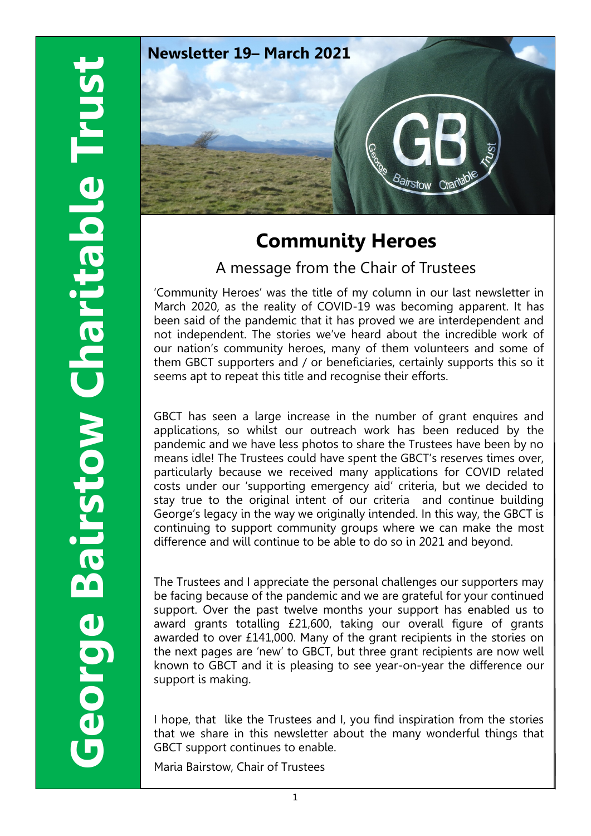

# **Community Heroes**

A message from the Chair of Trustees

'Community Heroes' was the title of my column in our last newsletter in March 2020, as the reality of COVID-19 was becoming apparent. It has been said of the pandemic that it has proved we are interdependent and not independent. The stories we've heard about the incredible work of our nation's community heroes, many of them volunteers and some of them GBCT supporters and / or beneficiaries, certainly supports this so it seems apt to repeat this title and recognise their efforts.

GBCT has seen a large increase in the number of grant enquires and applications, so whilst our outreach work has been reduced by the pandemic and we have less photos to share the Trustees have been by no means idle! The Trustees could have spent the GBCT's reserves times over, particularly because we received many applications for COVID related costs under our 'supporting emergency aid' criteria, but we decided to stay true to the original intent of our criteria and continue building George's legacy in the way we originally intended. In this way, the GBCT is continuing to support community groups where we can make the most difference and will continue to be able to do so in 2021 and beyond.

The Trustees and I appreciate the personal challenges our supporters may be facing because of the pandemic and we are grateful for your continued support. Over the past twelve months your support has enabled us to award grants totalling £21,600, taking our overall figure of grants awarded to over £141,000. Many of the grant recipients in the stories on the next pages are 'new' to GBCT, but three grant recipients are now well known to GBCT and it is pleasing to see year-on-year the difference our support is making.

I hope, that like the Trustees and I, you find inspiration from the stories that we share in this newsletter about the many wonderful things that GBCT support continues to enable.

Maria Bairstow, Chair of Trustees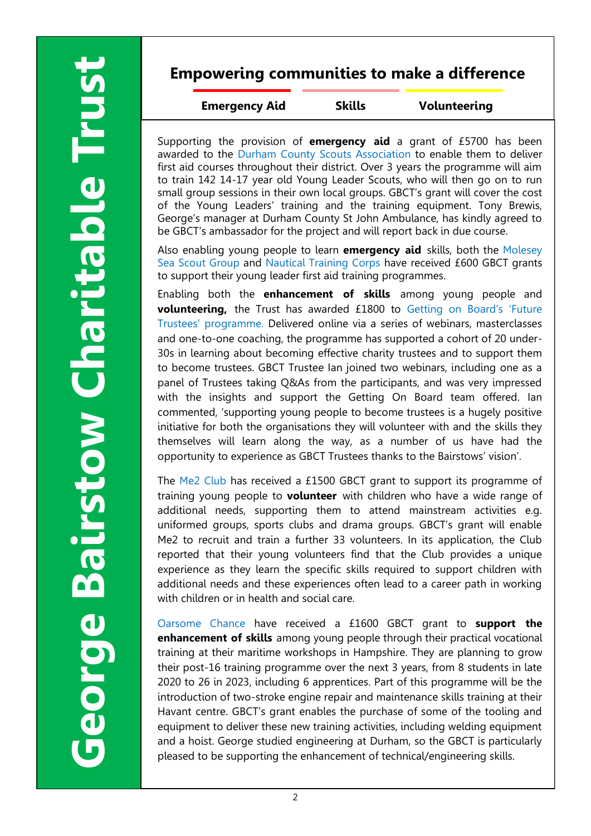#### **Empowering communities to make a difference**

**Emergency Aid Skills Volunteering**

Supporting the provision of **emergency aid** a grant of £5700 has been awarded to the Durham County Scouts Association to enable them to deliver first aid courses throughout their district. Over 3 years the programme will aim to train 142 14-17 year old Young Leader Scouts, who will then go on to run small group sessions in their own local groups. GBCT's grant will cover the cost of the Young Leaders' training and the training equipment. Tony Brewis, George's manager at Durham County St John Ambulance, has kindly agreed to be GBCT's ambassador for the project and will report back in due course.

Also enabling young people to learn **emergency aid** skills, both the Molesey Sea Scout Group and Nautical Training Corps have received £600 GBCT grants to support their young leader first aid training programmes.

Enabling both the **enhancement of skills** among young people and **volunteering,** the Trust has awarded £1800 to Getting on Board's 'Future Trustees' programme. Delivered online via a series of webinars, masterclasses and one-to-one coaching, the programme has supported a cohort of 20 under-30s in learning about becoming effective charity trustees and to support them to become trustees. GBCT Trustee Ian joined two webinars, including one as a panel of Trustees taking Q&As from the participants, and was very impressed with the insights and support the Getting On Board team offered. Ian commented, 'supporting young people to become trustees is a hugely positive initiative for both the organisations they will volunteer with and the skills they themselves will learn along the way, as a number of us have had the opportunity to experience as GBCT Trustees thanks to the Bairstows' vision'.

The Me2 Club has received a £1500 GBCT grant to support its programme of training young people to **volunteer** with children who have a wide range of additional needs, supporting them to attend mainstream activities e.g. uniformed groups, sports clubs and drama groups. GBCT's grant will enable Me2 to recruit and train a further 33 volunteers. In its application, the Club reported that their young volunteers find that the Club provides a unique experience as they learn the specific skills required to support children with additional needs and these experiences often lead to a career path in working with children or in health and social care.

Oarsome Chance have received a £1600 GBCT grant to **support the enhancement of skills** among young people through their practical vocational training at their maritime workshops in Hampshire. They are planning to grow their post-16 training programme over the next 3 years, from 8 students in late 2020 to 26 in 2023, including 6 apprentices. Part of this programme will be the introduction of two-stroke engine repair and maintenance skills training at their Havant centre. GBCT's grant enables the purchase of some of the tooling and equipment to deliver these new training activities, including welding equipment and a hoist. George studied engineering at Durham, so the GBCT is particularly pleased to be supporting the enhancement of technical/engineering skills.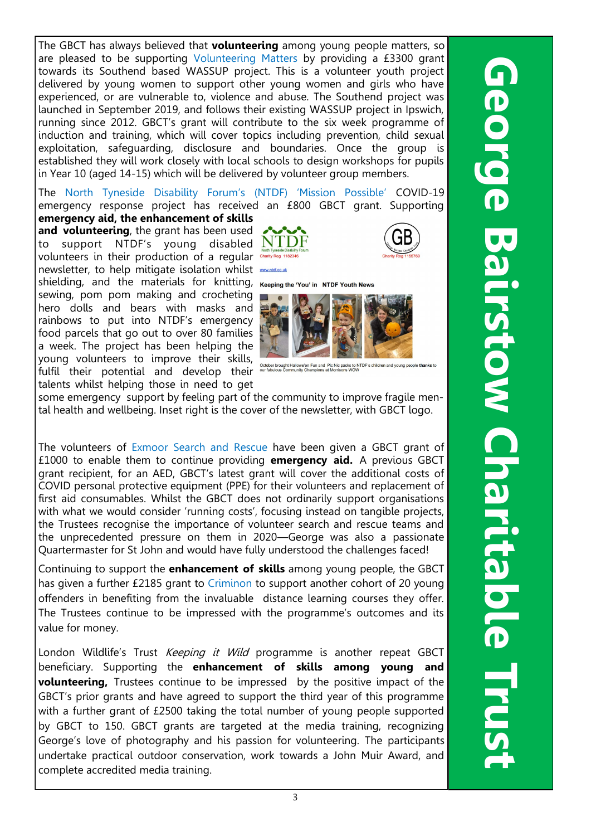The GBCT has always believed that **volunteering** among young people matters, so are pleased to be supporting Volunteering Matters by providing a £3300 grant towards its Southend based WASSUP project. This is a volunteer youth project delivered by young women to support other young women and girls who have experienced, or are vulnerable to, violence and abuse. The Southend project was launched in September 2019, and follows their existing WASSUP project in Ipswich, running since 2012. GBCT's grant will contribute to the six week programme of induction and training, which will cover topics including prevention, child sexual exploitation, safeguarding, disclosure and boundaries. Once the group is established they will work closely with local schools to design workshops for pupils in Year 10 (aged 14-15) which will be delivered by volunteer group members.

The North Tyneside Disability Forum's (NTDF) 'Mission Possible' COVID-19 emergency response project has received an £800 GBCT grant. Supporting **emergency aid, the enhancement of skills** 

**and volunteering**, the grant has been used to support NTDF's young disabled  $NT$ volunteers in their production of a regular Charity Reg 1 newsletter, to help mitigate isolation whilst shielding, and the materials for knitting, Keeping the You' in NTDF Youth News sewing, pom pom making and crocheting hero dolls and bears with masks and rainbows to put into NTDF's emergency food parcels that go out to over 80 families a week. The project has been helping the young volunteers to improve their skills, fulfil their potential and develop their talents whilst helping those in need to get







some emergency support by feeling part of the community to improve fragile mental health and wellbeing. Inset right is the cover of the newsletter, with GBCT logo.

The volunteers of Exmoor Search and Rescue have been given a GBCT grant of £1000 to enable them to continue providing **emergency aid.** A previous GBCT grant recipient, for an AED, GBCT's latest grant will cover the additional costs of COVID personal protective equipment (PPE) for their volunteers and replacement of first aid consumables. Whilst the GBCT does not ordinarily support organisations with what we would consider 'running costs', focusing instead on tangible projects, the Trustees recognise the importance of volunteer search and rescue teams and the unprecedented pressure on them in 2020—George was also a passionate Quartermaster for St John and would have fully understood the challenges faced!

Continuing to support the **enhancement of skills** among young people, the GBCT has given a further £2185 grant to Criminon to support another cohort of 20 young offenders in benefiting from the invaluable distance learning courses they offer. The Trustees continue to be impressed with the programme's outcomes and its value for money.

London Wildlife's Trust Keeping it Wild programme is another repeat GBCT beneficiary. Supporting the **enhancement of skills among young and volunteering,** Trustees continue to be impressed by the positive impact of the GBCT's prior grants and have agreed to support the third year of this programme with a further grant of £2500 taking the total number of young people supported by GBCT to 150. GBCT grants are targeted at the media training, recognizing George's love of photography and his passion for volunteering. The participants undertake practical outdoor conservation, work towards a John Muir Award, and complete accredited media training.